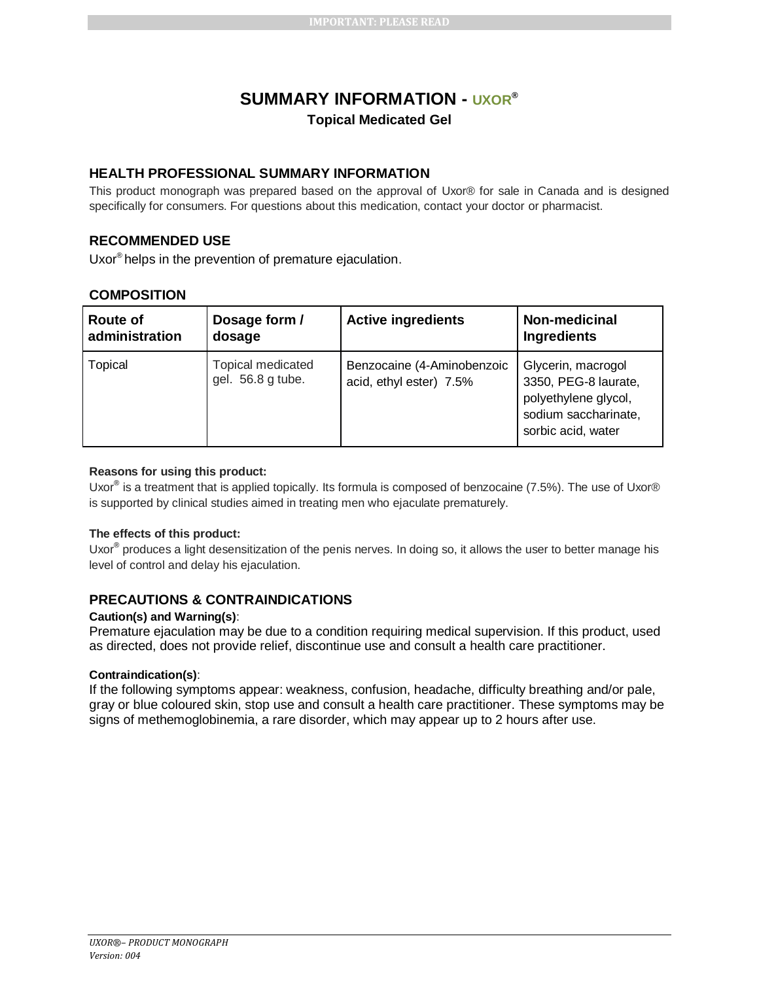# **SUMMARY INFORMATION - UXOR® Topical Medicated Gel**

# **HEALTH PROFESSIONAL SUMMARY INFORMATION**

This product monograph was prepared based on the approval of Uxor® for sale in Canada and is designed specifically for consumers. For questions about this medication, contact your doctor or pharmacist.

# **RECOMMENDED USE**

Uxor® helps in the prevention of premature ejaculation.

### **COMPOSITION**

| <b>Route of</b> | Dosage form /                          | <b>Active ingredients</b>                             | Non-medicinal                                                                                                    |
|-----------------|----------------------------------------|-------------------------------------------------------|------------------------------------------------------------------------------------------------------------------|
| administration  | dosage                                 |                                                       | <b>Ingredients</b>                                                                                               |
| Topical         | Topical medicated<br>gel. 56.8 g tube. | Benzocaine (4-Aminobenzoic<br>acid, ethyl ester) 7.5% | Glycerin, macrogol<br>3350, PEG-8 laurate,<br>polyethylene glycol,<br>sodium saccharinate,<br>sorbic acid, water |

#### **Reasons for using this product:**

Uxor<sup>®</sup> is a treatment that is applied topically. Its formula is composed of benzocaine (7.5%). The use of Uxor® is supported by clinical studies aimed in treating men who ejaculate prematurely.

### **The effects of this product:**

Uxor<sup>®</sup> produces a light desensitization of the penis nerves. In doing so, it allows the user to better manage his level of control and delay his ejaculation.

# **PRECAUTIONS & CONTRAINDICATIONS**

#### **Caution(s) and Warning(s)**:

Premature ejaculation may be due to a condition requiring medical supervision. If this product, used as directed, does not provide relief, discontinue use and consult a health care practitioner.

#### **Contraindication(s)**:

If the following symptoms appear: weakness, confusion, headache, difficulty breathing and/or pale, gray or blue coloured skin, stop use and consult a health care practitioner. These symptoms may be signs of methemoglobinemia, a rare disorder, which may appear up to 2 hours after use.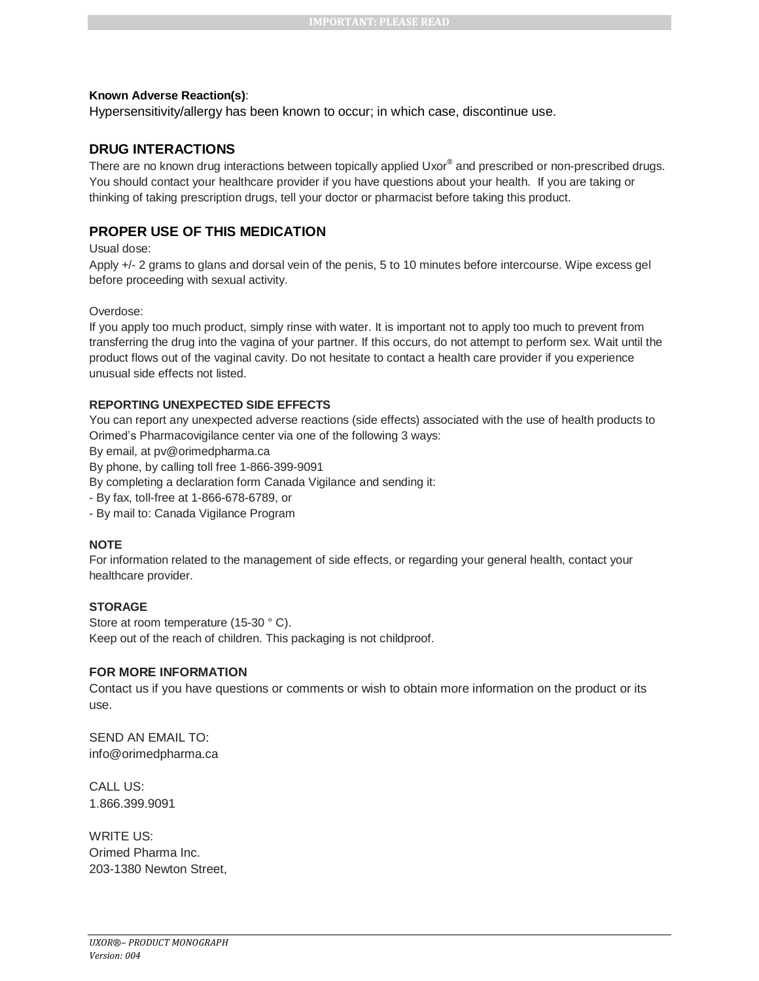#### **Known Adverse Reaction(s)**:

Hypersensitivity/allergy has been known to occur; in which case, discontinue use.

### **DRUG INTERACTIONS**

There are no known drug interactions between topically applied Uxor® and prescribed or non-prescribed drugs. You should contact your healthcare provider if you have questions about your health. If you are taking or thinking of taking prescription drugs, tell your doctor or pharmacist before taking this product.

# **PROPER USE OF THIS MEDICATION**

Usual dose:

Apply +/- 2 grams to glans and dorsal vein of the penis, 5 to 10 minutes before intercourse. Wipe excess gel before proceeding with sexual activity.

#### Overdose:

If you apply too much product, simply rinse with water. It is important not to apply too much to prevent from transferring the drug into the vagina of your partner. If this occurs, do not attempt to perform sex. Wait until the product flows out of the vaginal cavity. Do not hesitate to contact a health care provider if you experience unusual side effects not listed.

### **REPORTING UNEXPECTED SIDE EFFECTS**

You can report any unexpected adverse reactions (side effects) associated with the use of health products to Orimed's Pharmacovigilance center via one of the following 3 ways:

By email, at pv@orimedpharma.ca

By phone, by calling toll free 1-866-399-9091

By completing a declaration form Canada Vigilance and sending it:

- By fax, toll-free at 1-866-678-6789, or

- By mail to: Canada Vigilance Program

#### **NOTE**

For information related to the management of side effects, or regarding your general health, contact your healthcare provider.

#### **STORAGE**

Store at room temperature (15-30 °C). Keep out of the reach of children. This packaging is not childproof.

#### **FOR MORE INFORMATION**

Contact us if you have questions or comments or wish to obtain more information on the product or its use.

SEND AN EMAIL TO: info@orimedpharma.ca

CALL US: 1.866.399.9091

WRITE US: Orimed Pharma Inc. 203-1380 Newton Street,